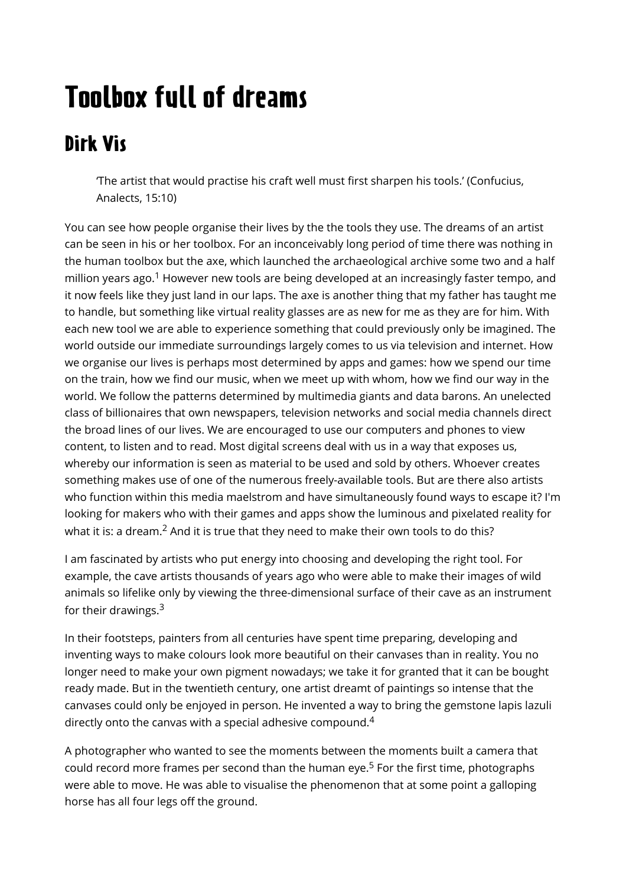# Toolbox full of dreams

### Dirk Vis

'The artist that would practise his craft well must first sharpen his tools.' (Confucius, Analects, 15:10)

You can see how people organise their lives by the the tools they use. The dreams of an artist can be seen in his or her toolbox. For an inconceivably long period of time there was nothing in the human toolbox but the axe, which launched the archaeological archive some two and a half million years ago.<sup>1</sup> However new tools are being developed at an increasingly faster tempo, and it now feels like they just land in our laps. The axe is another thing that my father has taught me to handle, but something like virtual reality glasses are as new for me as they are for him. With each new tool we are able to experience something that could previously only be imagined. The world outside our immediate surroundings largely comes to us via television and internet. How we organise our lives is perhaps most determined by apps and games: how we spend our time on the train, how we find our music, when we meet up with whom, how we find our way in the world. We follow the patterns determined by multimedia giants and data barons. An unelected class of billionaires that own newspapers, television networks and social media channels direct the broad lines of our lives. We are encouraged to use our computers and phones to view content, to listen and to read. Most digital screens deal with us in a way that exposes us, whereby our information is seen as material to be used and sold by others. Whoever creates something makes use of one of the numerous freely-available tools. But are there also artists who function within this media maelstrom and have simultaneously found ways to escape it? I'm looking for makers who with their games and apps show the luminous and pixelated reality for what it is: a dream.<sup>2</sup> And it is true that they need to make their own tools to do this?

I am fascinated by artists who put energy into choosing and developing the right tool. For example, the cave artists thousands of years ago who were able to make their images of wild animals so lifelike only by viewing the three-dimensional surface of their cave as an instrument for their drawings.<sup>3</sup>

In their footsteps, painters from all centuries have spent time preparing, developing and inventing ways to make colours look more beautiful on their canvases than in reality. You no longer need to make your own pigment nowadays; we take it for granted that it can be bought ready made. But in the twentieth century, one artist dreamt of paintings so intense that the canvases could only be enjoyed in person. He invented a way to bring the gemstone lapis lazuli directly onto the canvas with a special adhesive compound.<sup>4</sup>

A photographer who wanted to see the moments between the moments built a camera that could record more frames per second than the human eye.<sup>5</sup> For the first time, photographs were able to move. He was able to visualise the phenomenon that at some point a galloping horse has all four legs off the ground.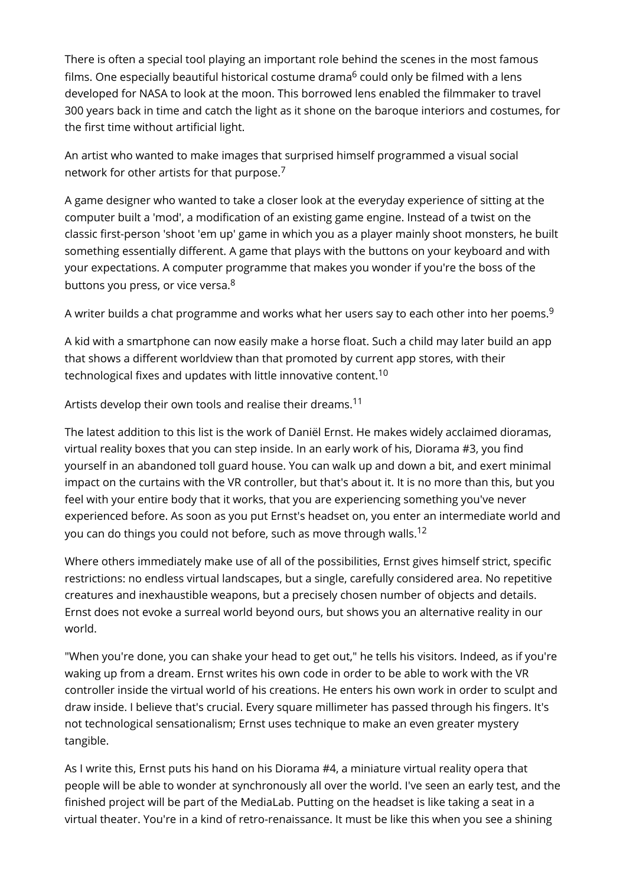There is often a special tool playing an important role behind the scenes in the most famous films. One especially beautiful historical costume drama<sup>6</sup> could only be filmed with a lens developed for NASA to look at the moon. This borrowed lens enabled the filmmaker to travel 300 years back in time and catch the light as it shone on the baroque interiors and costumes, for the first time without artificial light.

An artist who wanted to make images that surprised himself programmed a visual social network for other artists for that purpose.<sup>7</sup>

A game designer who wanted to take a closer look at the everyday experience of sitting at the computer built a 'mod', a modification of an existing game engine. Instead of a twist on the classic first-person 'shoot 'em up' game in which you as a player mainly shoot monsters, he built something essentially different. A game that plays with the buttons on your keyboard and with your expectations. A computer programme that makes you wonder if you're the boss of the buttons you press, or vice versa.<sup>8</sup>

A writer builds a chat programme and works what her users say to each other into her poems.<sup>9</sup>

A kid with a smartphone can now easily make a horse float. Such a child may later build an app that shows a different worldview than that promoted by current app stores, with their technological fixes and updates with little innovative content.<sup>10</sup>

Artists develop their own tools and realise their dreams.<sup>11</sup>

The latest addition to this list is the work of Daniël Ernst. He makes widely acclaimed dioramas, virtual reality boxes that you can step inside. In an early work of his, Diorama #3, you find yourself in an abandoned toll guard house. You can walk up and down a bit, and exert minimal impact on the curtains with the VR controller, but that's about it. It is no more than this, but you feel with your entire body that it works, that you are experiencing something you've never experienced before. As soon as you put Ernst's headset on, you enter an intermediate world and you can do things you could not before, such as move through walls.<sup>12</sup>

Where others immediately make use of all of the possibilities, Ernst gives himself strict, specific restrictions: no endless virtual landscapes, but a single, carefully considered area. No repetitive creatures and inexhaustible weapons, but a precisely chosen number of objects and details. Ernst does not evoke a surreal world beyond ours, but shows you an alternative reality in our world.

"When you're done, you can shake your head to get out," he tells his visitors. Indeed, as if you're waking up from a dream. Ernst writes his own code in order to be able to work with the VR controller inside the virtual world of his creations. He enters his own work in order to sculpt and draw inside. I believe that's crucial. Every square millimeter has passed through his fingers. It's not technological sensationalism; Ernst uses technique to make an even greater mystery tangible.

As I write this, Ernst puts his hand on his Diorama #4, a miniature virtual reality opera that people will be able to wonder at synchronously all over the world. I've seen an early test, and the finished project will be part of the MediaLab. Putting on the headset is like taking a seat in a virtual theater. You're in a kind of retro-renaissance. It must be like this when you see a shining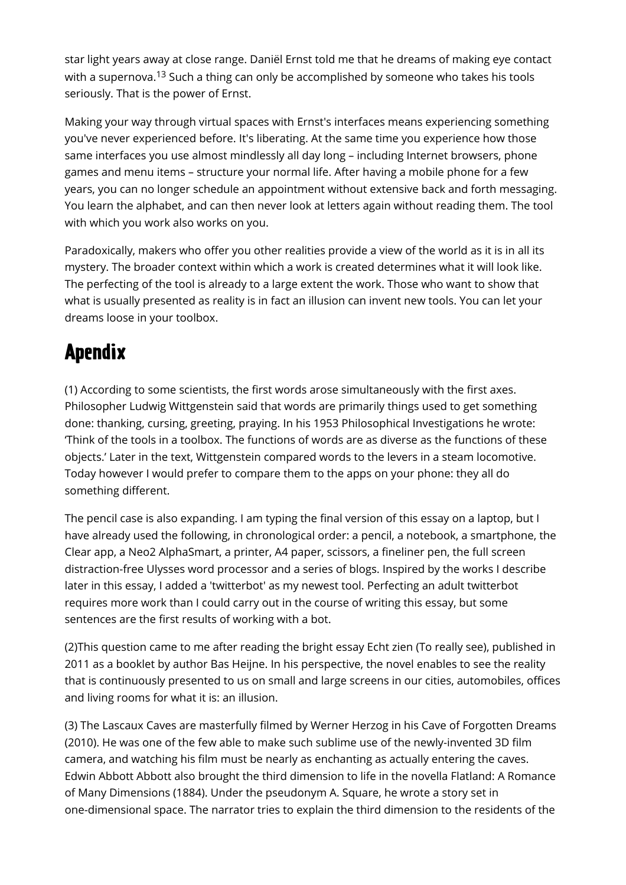star light years away at close range. Daniël Ernst told me that he dreams of making eye contact with a supernova.<sup>13</sup> Such a thing can only be accomplished by someone who takes his tools seriously. That is the power of Ernst.

Making your way through virtual spaces with Ernst's interfaces means experiencing something you've never experienced before. It's liberating. At the same time you experience how those same interfaces you use almost mindlessly all day long – including Internet browsers, phone games and menu items – structure your normal life. After having a mobile phone for a few years, you can no longer schedule an appointment without extensive back and forth messaging. You learn the alphabet, and can then never look at letters again without reading them. The tool with which you work also works on you.

Paradoxically, makers who offer you other realities provide a view of the world as it is in all its mystery. The broader context within which a work is created determines what it will look like. The perfecting of the tool is already to a large extent the work. Those who want to show that what is usually presented as reality is in fact an illusion can invent new tools. You can let your dreams loose in your toolbox.

### Apendix

(1) According to some scientists, the first words arose simultaneously with the first axes. Philosopher Ludwig Wittgenstein said that words are primarily things used to get something done: thanking, cursing, greeting, praying. In his 1953 Philosophical Investigations he wrote: 'Think of the tools in a toolbox. The functions of words are as diverse as the functions of these objects.' Later in the text, Wittgenstein compared words to the levers in a steam locomotive. Today however I would prefer to compare them to the apps on your phone: they all do something different.

The pencil case is also expanding. I am typing the final version of this essay on a laptop, but I have already used the following, in chronological order: a pencil, a notebook, a smartphone, the Clear app, a Neo2 AlphaSmart, a printer, A4 paper, scissors, a fineliner pen, the full screen distraction-free Ulysses word processor and a series of blogs. Inspired by the works I describe later in this essay, I added a 'twitterbot' as my newest tool. Perfecting an adult twitterbot requires more work than I could carry out in the course of writing this essay, but some sentences are the first results of working with a bot.

(2)This question came to me after reading the bright essay Echt zien (To really see), published in 2011 as a booklet by author Bas Heijne. In his perspective, the novel enables to see the reality that is continuously presented to us on small and large screens in our cities, automobiles, offices and living rooms for what it is: an illusion.

(3) The Lascaux Caves are masterfully filmed by Werner Herzog in his Cave of Forgotten Dreams (2010). He was one of the few able to make such sublime use of the newly-invented 3D film camera, and watching his film must be nearly as enchanting as actually entering the caves. Edwin Abbott Abbott also brought the third dimension to life in the novella Flatland: A Romance of Many Dimensions (1884). Under the pseudonym A. Square, he wrote a story set in one-dimensional space. The narrator tries to explain the third dimension to the residents of the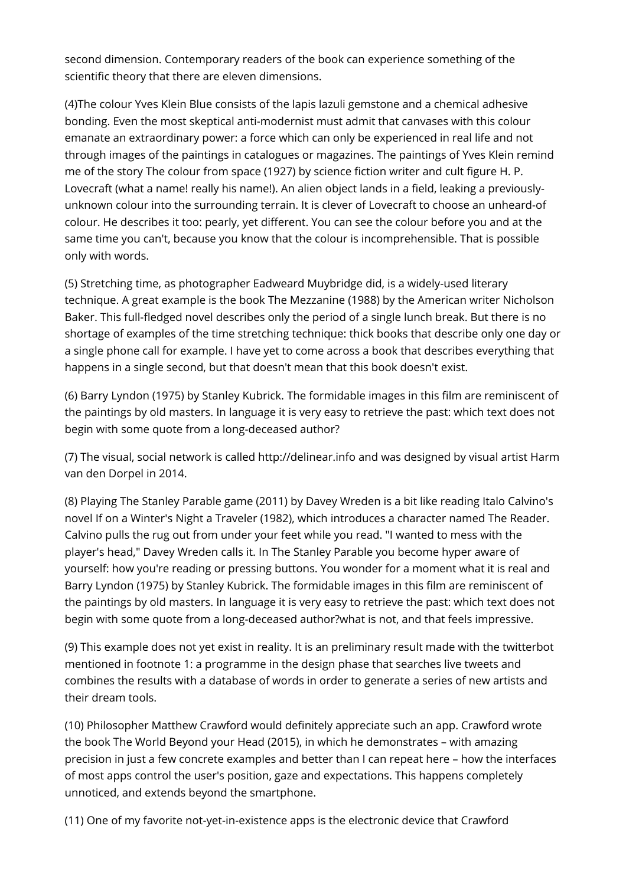second dimension. Contemporary readers of the book can experience something of the scientific theory that there are eleven dimensions.

(4)The colour Yves Klein Blue consists of the lapis lazuli gemstone and a chemical adhesive bonding. Even the most skeptical anti-modernist must admit that canvases with this colour emanate an extraordinary power: a force which can only be experienced in real life and not through images of the paintings in catalogues or magazines. The paintings of Yves Klein remind me of the story The colour from space (1927) by science fiction writer and cult figure H. P. Lovecraft (what a name! really his name!). An alien object lands in a field, leaking a previouslyunknown colour into the surrounding terrain. It is clever of Lovecraft to choose an unheard-of colour. He describes it too: pearly, yet different. You can see the colour before you and at the same time you can't, because you know that the colour is incomprehensible. That is possible only with words.

(5) Stretching time, as photographer Eadweard Muybridge did, is a widely-used literary technique. A great example is the book The Mezzanine (1988) by the American writer Nicholson Baker. This full-fledged novel describes only the period of a single lunch break. But there is no shortage of examples of the time stretching technique: thick books that describe only one day or a single phone call for example. I have yet to come across a book that describes everything that happens in a single second, but that doesn't mean that this book doesn't exist.

(6) Barry Lyndon (1975) by Stanley Kubrick. The formidable images in this film are reminiscent of the paintings by old masters. In language it is very easy to retrieve the past: which text does not begin with some quote from a long-deceased author?

(7) The visual, social network is called http://delinear.info and was designed by visual artist Harm van den Dorpel in 2014.

(8) Playing The Stanley Parable game (2011) by Davey Wreden is a bit like reading Italo Calvino's novel If on a Winter's Night a Traveler (1982), which introduces a character named The Reader. Calvino pulls the rug out from under your feet while you read. "I wanted to mess with the player's head," Davey Wreden calls it. In The Stanley Parable you become hyper aware of yourself: how you're reading or pressing buttons. You wonder for a moment what it is real and Barry Lyndon (1975) by Stanley Kubrick. The formidable images in this film are reminiscent of the paintings by old masters. In language it is very easy to retrieve the past: which text does not begin with some quote from a long-deceased author?what is not, and that feels impressive.

(9) This example does not yet exist in reality. It is an preliminary result made with the twitterbot mentioned in footnote 1: a programme in the design phase that searches live tweets and combines the results with a database of words in order to generate a series of new artists and their dream tools.

(10) Philosopher Matthew Crawford would definitely appreciate such an app. Crawford wrote the book The World Beyond your Head (2015), in which he demonstrates – with amazing precision in just a few concrete examples and better than I can repeat here – how the interfaces of most apps control the user's position, gaze and expectations. This happens completely unnoticed, and extends beyond the smartphone.

(11) One of my favorite not-yet-in-existence apps is the electronic device that Crawford